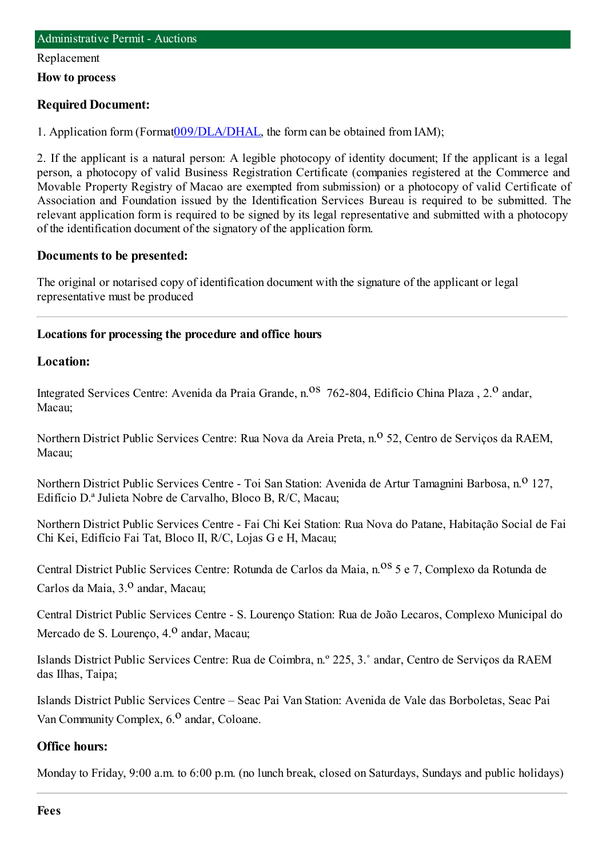#### Replacement

**How to process**

#### **Required Document:**

1. Application form(Format[009/DLA/DHAL](http://www.iam.gov.mo/c/pdf/eformDetail/PDF363), the formcan be obtained fromIAM);

2. If the applicant is a natural person: A legible photocopy of identity document; If the applicant is a legal person, a photocopy of valid Business Registration Certificate (companies registered at the Commerce and Movable Property Registry of Macao are exempted from submission) or a photocopy of valid Certificate of Association and Foundation issued by the Identification Services Bureau is required to be submitted. The relevant application form is required to be signed by its legal representative and submitted with a photocopy of the identification document of the signatory of the application form.

#### **Documents to be presented:**

The original or notarised copy of identification document with the signature of the applicant or legal representative must be produced

#### **Locations for processing the procedure and office hours**

#### **Location:**

Integrated Services Centre: Avenida da Praia Grande, n.<sup>08</sup> 762-804, Edifício China Plaza, 2.<sup>0</sup> andar, Macau;

Northern District Public Services Centre: Rua Nova da Areia Preta, n.<sup>o</sup> 52, Centro de Serviços da RAEM, Macau;

Northern District Public Services Centre - Toi San Station: Avenida de Artur Tamagnini Barbosa, n.<sup>0</sup> 127, Edifício D.ª Julieta Nobre de Carvalho, Bloco B, R/C, Macau;

Northern District Public Services Centre - Fai Chi Kei Station: Rua Nova do Patane, Habitação Social de Fai Chi Kei, Edifício Fai Tat, Bloco II, R/C, Lojas G e H, Macau;

Central District Public Services Centre: Rotunda de Carlos da Maia, n.<sup>0S</sup> 5 e 7, Complexo da Rotunda de Carlos da Maia, 3.<sup>0</sup> andar, Macau;

Central District Public Services Centre - S. Lourenço Station: Rua de João Lecaros, Complexo Municipal do Mercado de S. Lourenco, 4.<sup>0</sup> andar, Macau;

Islands District Public Services Centre: Rua de Coimbra, n.º 225, 3.˚ andar, Centro de Serviços da RAEM das Ilhas, Taipa;

Islands District Public Services Centre – Seac Pai Van Station: Avenida de Vale das Borboletas, Seac Pai Van Community Complex,  $6<sup>0</sup>$  andar, Coloane.

#### **Office hours:**

Monday to Friday, 9:00 a.m. to 6:00 p.m. (no lunch break, closed on Saturdays, Sundays and public holidays)